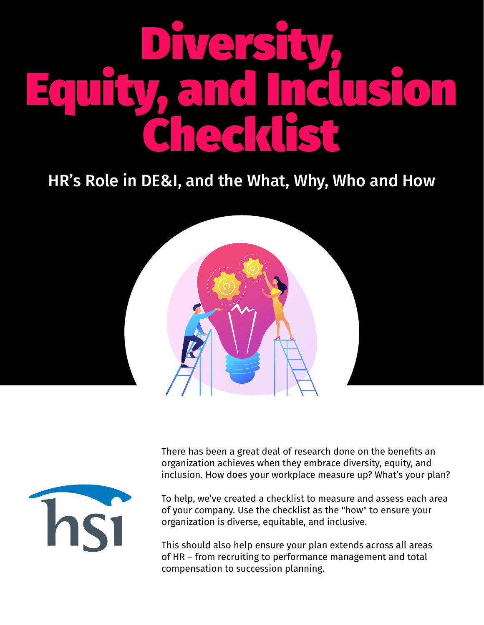# Diversity,<br>Equity, and Inclusion<br>Checklist

## HR's Role in DE&I, and the What, Why, Who and How





There has been a great deal of research done on the benefits an organization achieves when they embrace diversity, equity, and inclusion. How does your workplace measure up? What's your plan?

To help, we've created a checklist to measure and assess each area of your company. Use the checklist as the "how" to ensure your organization is diverse, equitable, and inclusive.

This should also help ensure your plan extends across all areas of HR – from recruiting to performance management and total compensation to succession planning.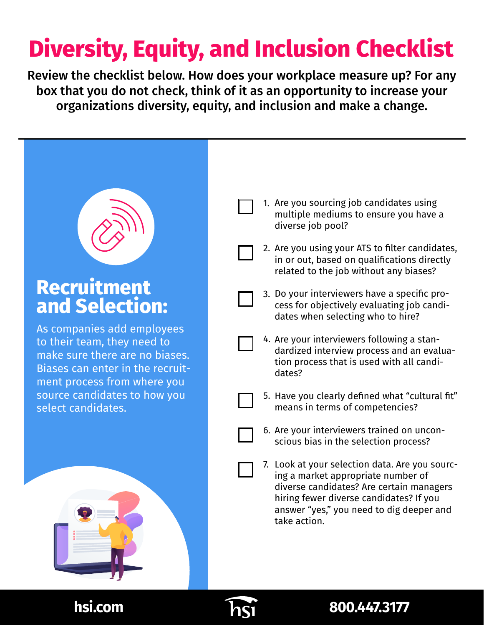## **Diversity, Equity, and Inclusion Checklist**

Review the checklist below. How does your workplace measure up? For any box that you do not check, think of it as an opportunity to increase your organizations diversity, equity, and inclusion and make a change.



## **Recruitment and Selection:**

As companies add employees to their team, they need to make sure there are no biases. Biases can enter in the recruitment process from where you source candidates to how you select candidates.



- 1. Are you sourcing job candidates using multiple mediums to ensure you have a diverse job pool?
- 2. Are you using your ATS to filter candidates, in or out, based on qualifications directly related to the job without any biases?
- 3. Do your interviewers have a specific process for objectively evaluating job candidates when selecting who to hire?
- 4. Are your interviewers following a standardized interview process and an evaluation process that is used with all candidates?
- 5. Have you clearly defined what "cultural fit" means in terms of competencies?
	- 6. Are your interviewers trained on unconscious bias in the selection process?
	- 7. Look at your selection data. Are you sourcing a market appropriate number of diverse candidates? Are certain managers hiring fewer diverse candidates? If you answer "yes," you need to dig deeper and take action.



#### **hsi.com** *hsi***.com** *hsi.com hsi.com*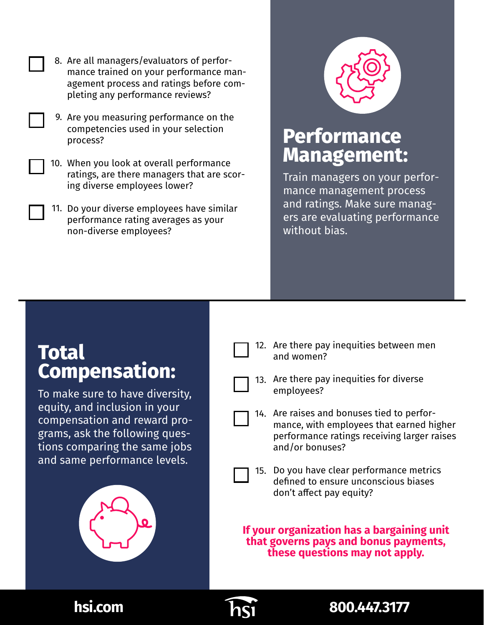- 8. Are all managers/evaluators of performance trained on your performance management process and ratings before completing any performance reviews?
- Are you measuring performance on the 9. competencies used in your selection process?
- 10. When you look at overall performance ratings, are there managers that are scoring diverse employees lower?
- 11. Do your diverse employees have similar performance rating averages as your non-diverse employees?



#### **Performance Management:**

Train managers on your performance management process and ratings. Make sure managers are evaluating performance without bias.

#### **Total Compensation:**

To make sure to have diversity, equity, and inclusion in your compensation and reward programs, ask the following questions comparing the same jobs and same performance levels.



12. Are there pay inequities between men and women?



- 13. Are there pay inequities for diverse employees?
- Are raises and bonuses tied to perfor-14. mance, with employees that earned higher performance ratings receiving larger raises and/or bonuses?
- 15. Do you have clear performance metrics defined to ensure unconscious biases don't affect pay equity?

**If your organization has a bargaining unit that governs pays and bonus payments, these questions may not apply.**



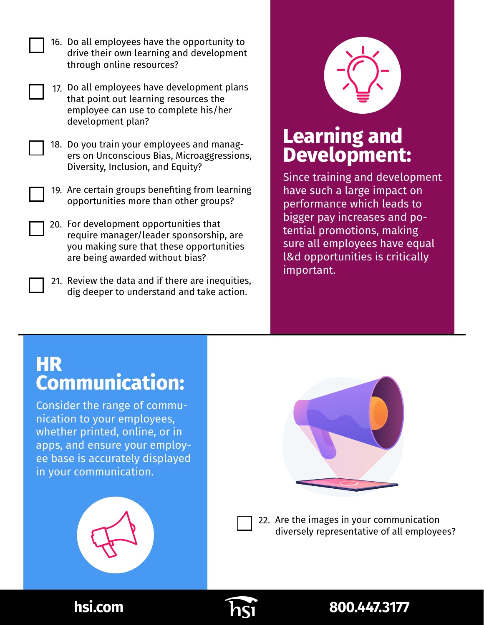| 16. Do all employees have the opportunity to |
|----------------------------------------------|
| drive their own learning and development     |
| through online resources?                    |

- 17. Do all employees have development plans that point out learning resources the employee can use to complete his/her development plan?
- 18. Do you train your employees and managers on Unconscious Bias, Microaggressions, Diversity, Inclusion, and Equity?
- 19. Are certain groups benefiting from learning opportunities more than other groups?
- 20. For development opportunities that require manager/leader sponsorship, are you making sure that these opportunities are being awarded without bias?
- 21. Review the data and if there are inequities, dig deeper to understand and take action.



## **Learning and Development:**

Since training and development have such a large impact on performance which leads to bigger pay increases and potential promotions, making sure all employees have equal l&d opportunities is critically important.

## **HR Communication:**

Consider the range of communication to your employees, whether printed, online, or in apps, and ensure your employee base is accurately displayed in your communication.



22. Are the images in your communication diversely representative of all employees?



#### **hsi.com** *hsimum* **h**sing *hsimum* **800.447.3177**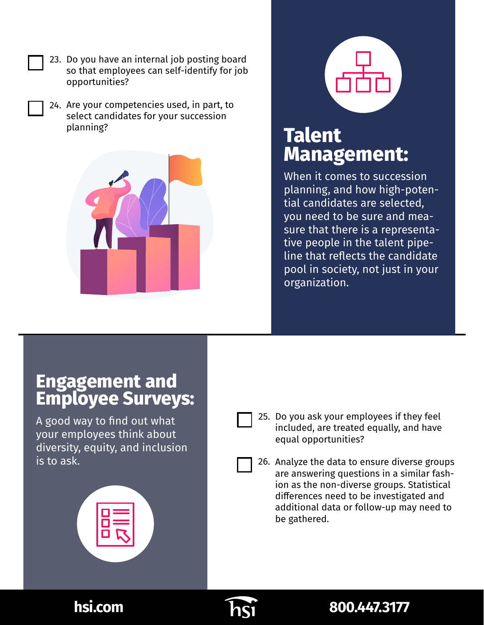- 23. Do you have an internal job posting board so that employees can self-identify for job opportunities?
	- 24. Are your competencies used, in part, to select candidates for your succession planning?



## **Talent Management:**

When it comes to succession planning, and how high-potential candidates are selected, you need to be sure and measure that there is a representative people in the talent pipeline that reflects the candidate pool in society, not just in your organization.

#### **Engagement and Employee Surveys:**

A good way to find out what your employees think about diversity, equity, and inclusion is to ask.





25. Do you ask your employees if they feel included, are treated equally, and have equal opportunities?

26. Analyze the data to ensure diverse groups are answering questions in a similar fashion as the non-diverse groups. Statistical differences need to be investigated and additional data or follow-up may need to be gathered.



#### **hsi.com** *hsi***.com** *hsimus hsimus* **800.447.3177**